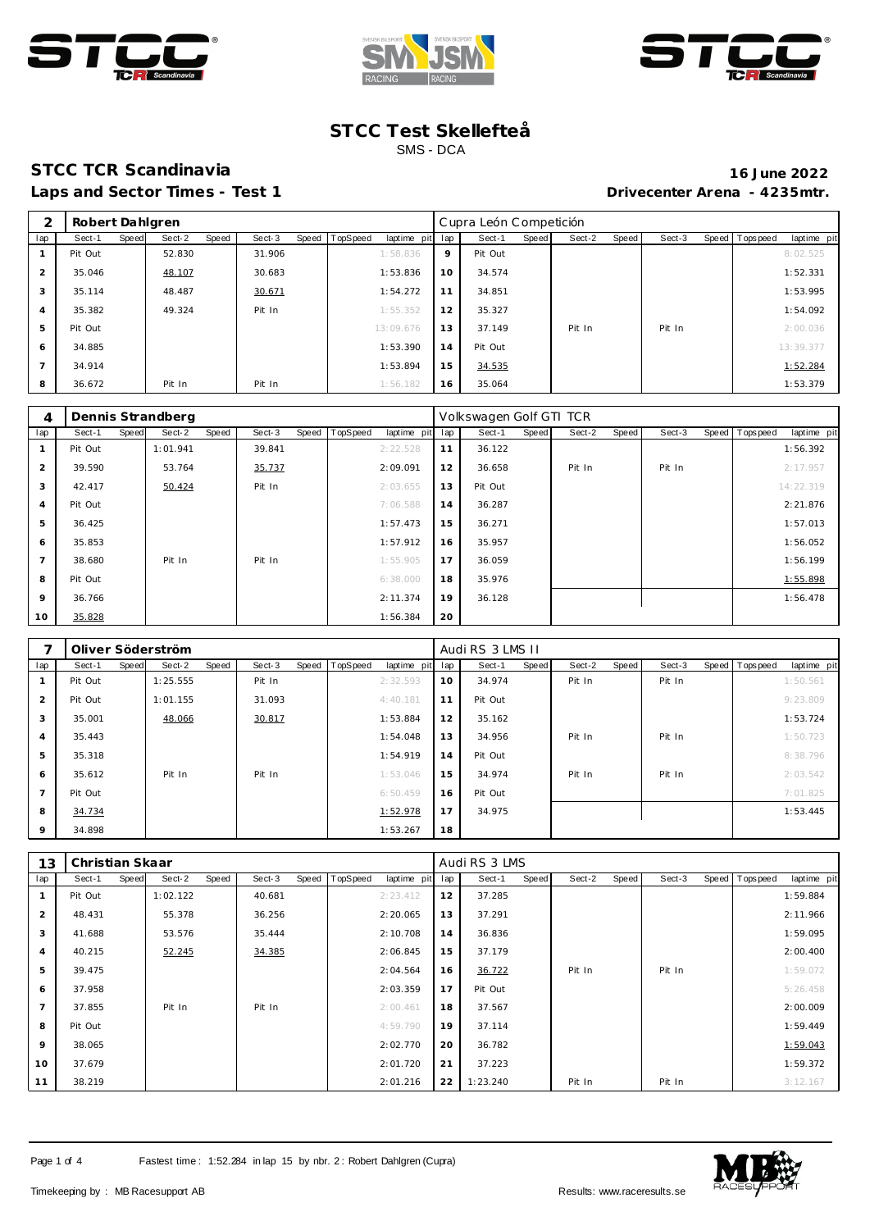





# **STCC TCR Scandinavia 16 June 2022**

# Laps and Sector Times - Test 1 **Drivecenter Arena - 4235mtr.**

| ⌒              | Robert Dahlgren |       |        |       |        |       |          |             |     | Cupra León Competición |       |        |       |        |                |             |
|----------------|-----------------|-------|--------|-------|--------|-------|----------|-------------|-----|------------------------|-------|--------|-------|--------|----------------|-------------|
| lap            | Sect-1          | Speed | Sect-2 | Speed | Sect-3 | Speed | TopSpeed | laptime pit | lap | Sect-1                 | Speed | Sect-2 | Speed | Sect-3 | Speed Topspeed | laptime pit |
|                | Pit Out         |       | 52.830 |       | 31.906 |       |          | 1:58.836    | 9   | Pit Out                |       |        |       |        |                | 8:02.525    |
| 2              | 35.046          |       | 48.107 |       | 30.683 |       |          | 1:53.836    | 10  | 34.574                 |       |        |       |        |                | 1:52.331    |
| 3              | 35.114          |       | 48.487 |       | 30.671 |       |          | 1:54.272    | 11  | 34.851                 |       |        |       |        |                | 1:53.995    |
| $\overline{4}$ | 35.382          |       | 49.324 |       | Pit In |       |          | 1:55.352    | 12  | 35.327                 |       |        |       |        |                | 1:54.092    |
| 5              | Pit Out         |       |        |       |        |       |          | 13:09.676   | 13  | 37.149                 |       | Pit In |       | Pit In |                | 2:00.036    |
| 6              | 34.885          |       |        |       |        |       |          | 1:53.390    | 14  | Pit Out                |       |        |       |        |                | 13:39.377   |
| $\overline{7}$ | 34.914          |       |        |       |        |       |          | 1:53.894    | 15  | 34.535                 |       |        |       |        |                | 1:52.284    |
| 8              | 36.672          |       | Pit In |       | Pit In |       |          | 1:56.182    | 16  | 35.064                 |       |        |       |        |                | 1:53.379    |

| 4              |         |       | Dennis Strandberg |       |        |       |                 |             |     | Volkswagen Golf GTI TCR |       |        |       |        |                |             |
|----------------|---------|-------|-------------------|-------|--------|-------|-----------------|-------------|-----|-------------------------|-------|--------|-------|--------|----------------|-------------|
| lap            | Sect-1  | Speed | Sect-2            | Speed | Sect-3 | Speed | <b>TopSpeed</b> | laptime pit | lap | Sect-1                  | Speed | Sect-2 | Speed | Sect-3 | Speed Topspeed | laptime pit |
|                | Pit Out |       | 1:01.941          |       | 39.841 |       |                 | 2:22.528    | 11  | 36.122                  |       |        |       |        |                | 1:56.392    |
| 2              | 39.590  |       | 53.764            |       | 35.737 |       |                 | 2:09.091    | 12  | 36.658                  |       | Pit In |       | Pit In |                | 2:17.957    |
| 3              | 42.417  |       | 50.424            |       | Pit In |       |                 | 2:03.655    | 13  | Pit Out                 |       |        |       |        |                | 14:22.319   |
| 4              | Pit Out |       |                   |       |        |       |                 | 7:06.588    | 14  | 36.287                  |       |        |       |        |                | 2:21.876    |
| 5              | 36.425  |       |                   |       |        |       |                 | 1:57.473    | 15  | 36.271                  |       |        |       |        |                | 1:57.013    |
| 6              | 35.853  |       |                   |       |        |       |                 | 1:57.912    | 16  | 35.957                  |       |        |       |        |                | 1:56.052    |
| $\overline{7}$ | 38.680  |       | Pit In            |       | Pit In |       |                 | 1:55.905    | 17  | 36.059                  |       |        |       |        |                | 1:56.199    |
| 8              | Pit Out |       |                   |       |        |       |                 | 6:38.000    | 18  | 35.976                  |       |        |       |        |                | 1:55.898    |
| 9              | 36.766  |       |                   |       |        |       |                 | 2:11.374    | 19  | 36.128                  |       |        |       |        |                | 1:56.478    |
| 10             | 35.828  |       |                   |       |        |       |                 | 1:56.384    | 20  |                         |       |        |       |        |                |             |

|                |         | Oliver Söderström |       |        |                |             |     | Audi RS 3 LMS II |       |        |       |        |                |             |
|----------------|---------|-------------------|-------|--------|----------------|-------------|-----|------------------|-------|--------|-------|--------|----------------|-------------|
| lap            | Sect-1  | Speed<br>Sect-2   | Speed | Sect-3 | Speed TopSpeed | laptime pit | lap | Sect-1           | Speed | Sect-2 | Speed | Sect-3 | Speed Topspeed | laptime pit |
|                | Pit Out | 1:25.555          |       | Pit In |                | 2:32.593    | 10  | 34.974           |       | Pit In |       | Pit In |                | 1:50.561    |
| 2              | Pit Out | 1:01.155          |       | 31.093 |                | 4:40.181    | 11  | Pit Out          |       |        |       |        |                | 9:23.809    |
| 3              | 35.001  | 48.066            |       | 30.817 |                | 1:53.884    | 12  | 35.162           |       |        |       |        |                | 1:53.724    |
| $\overline{4}$ | 35.443  |                   |       |        |                | 1:54.048    | 13  | 34.956           |       | Pit In |       | Pit In |                | 1:50.723    |
| 5              | 35.318  |                   |       |        |                | 1:54.919    | 14  | Pit Out          |       |        |       |        |                | 8:38.796    |
| 6              | 35.612  | Pit In            |       | Pit In |                | 1:53.046    | 15  | 34.974           |       | Pit In |       | Pit In |                | 2:03.542    |
| 7              | Pit Out |                   |       |        |                | 6:50.459    | 16  | Pit Out          |       |        |       |        |                | 7:01.825    |
| 8              | 34.734  |                   |       |        |                | 1:52.978    | 17  | 34.975           |       |        |       |        |                | 1:53.445    |
| 9              | 34.898  |                   |       |        |                | 1:53.267    | 18  |                  |       |        |       |        |                |             |

| 13             | Christian Skaar |                 |                 |                         |     | Audi RS 3 LMS   |        |       |        |                  |             |
|----------------|-----------------|-----------------|-----------------|-------------------------|-----|-----------------|--------|-------|--------|------------------|-------------|
| lap            | Sect-1<br>Speed | Sect-2<br>Speed | Sect-3<br>Speed | TopSpeed<br>laptime pit | lap | Sect-1<br>Speed | Sect-2 | Speed | Sect-3 | Speed   Topspeed | laptime pit |
| $\mathbf{1}$   | Pit Out         | 1:02.122        | 40.681          | 2: 23.412               | 12  | 37.285          |        |       |        |                  | 1:59.884    |
| $\overline{2}$ | 48.431          | 55.378          | 36.256          | 2:20.065                | 13  | 37.291          |        |       |        |                  | 2:11.966    |
| 3              | 41.688          | 53.576          | 35.444          | 2:10.708                | 14  | 36.836          |        |       |        |                  | 1:59.095    |
| $\overline{4}$ | 40.215          | 52.245          | 34.385          | 2:06.845                | 15  | 37.179          |        |       |        |                  | 2:00.400    |
| 5              | 39.475          |                 |                 | 2:04.564                | 16  | 36.722          | Pit In |       | Pit In |                  | 1:59.072    |
| 6              | 37.958          |                 |                 | 2:03.359                | 17  | Pit Out         |        |       |        |                  | 5:26.458    |
| $\overline{7}$ | 37.855          | Pit In          | Pit In          | 2:00.461                | 18  | 37.567          |        |       |        |                  | 2:00.009    |
| 8              | Pit Out         |                 |                 | 4:59.790                | 19  | 37.114          |        |       |        |                  | 1:59.449    |
| 9              | 38.065          |                 |                 | 2:02.770                | 20  | 36.782          |        |       |        |                  | 1:59.043    |
| 10             | 37.679          |                 |                 | 2:01.720                | 21  | 37.223          |        |       |        |                  | 1:59.372    |
| 11             | 38.219          |                 |                 | 2:01.216                | 22  | 1:23.240        | Pit In |       | Pit In |                  | 3:12.167    |

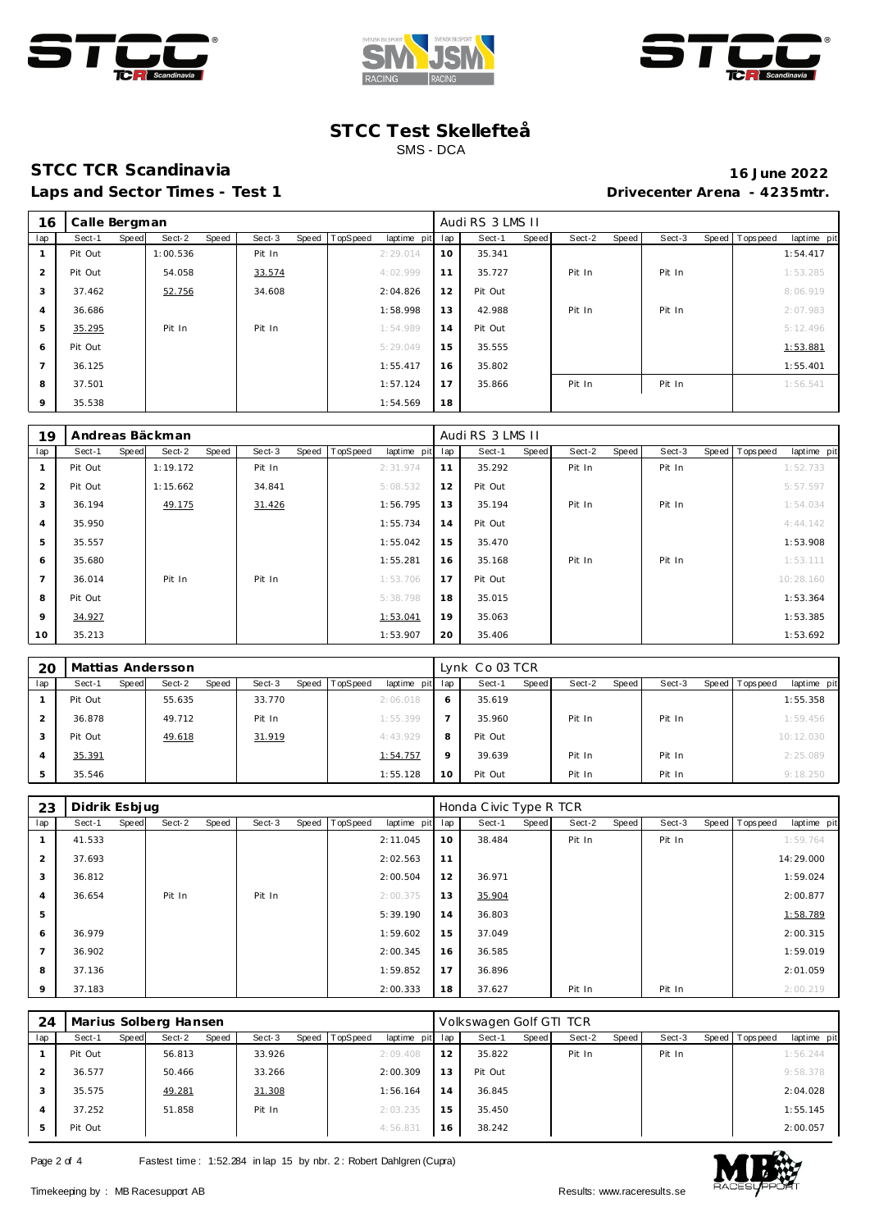





### **STCC TCR Scandinavia 16 June 2022** Laps and Sector Times - Test 1 **Drivecenter Arena - 4235mtr.**

| 16             | Calle Bergman |                 |       |        |       |          |             |     | Audi RS 3 LMS II |       |        |       |        |       |            |             |
|----------------|---------------|-----------------|-------|--------|-------|----------|-------------|-----|------------------|-------|--------|-------|--------|-------|------------|-------------|
| lap            | Sect-1        | Sect-2<br>Speed | Speed | Sect-3 | Speed | TopSpeed | laptime pit | lap | Sect-1           | Speed | Sect-2 | Speed | Sect-3 | Speed | Tops pee d | laptime pit |
|                | Pit Out       | 1:00.536        |       | Pit In |       |          | 2:29.014    | 10  | 35.341           |       |        |       |        |       |            | 1:54.417    |
| $\overline{2}$ | Pit Out       | 54.058          |       | 33.574 |       |          | 4:02.999    | 11  | 35.727           |       | Pit In |       | Pit In |       |            | 1:53.285    |
| 3              | 37.462        | 52.756          |       | 34.608 |       |          | 2:04.826    | 12  | Pit Out          |       |        |       |        |       |            | 8:06.919    |
| $\overline{4}$ | 36.686        |                 |       |        |       |          | 1:58.998    | 13  | 42.988           |       | Pit In |       | Pit In |       |            | 2:07.983    |
| 5              | 35.295        | Pit In          |       | Pit In |       |          | 1:54.989    | 14  | Pit Out          |       |        |       |        |       |            | 5:12.496    |
| 6              | Pit Out       |                 |       |        |       |          | 5:29.049    | 15  | 35.555           |       |        |       |        |       |            | 1:53.881    |
| $\overline{7}$ | 36.125        |                 |       |        |       |          | 1:55.417    | 16  | 35.802           |       |        |       |        |       |            | 1:55.401    |
| 8              | 37.501        |                 |       |        |       |          | 1:57.124    | 17  | 35.866           |       | Pit In |       | Pit In |       |            | 1:56.541    |
| 9              | 35.538        |                 |       |        |       |          | 1:54.569    | 18  |                  |       |        |       |        |       |            |             |

| 19             | Andreas Bäckman |       |          |       |        |       |          |             |     | Audi RS 3 LMS II |       |        |       |        |                  |             |
|----------------|-----------------|-------|----------|-------|--------|-------|----------|-------------|-----|------------------|-------|--------|-------|--------|------------------|-------------|
| lap            | Sect-1          | Speed | Sect-2   | Speed | Sect-3 | Speed | TopSpeed | laptime pit | lap | Sect-1           | Speed | Sect-2 | Speed | Sect-3 | Speed   Topspeed | laptime pit |
|                | Pit Out         |       | 1:19.172 |       | Pit In |       |          | 2:31.974    | 11  | 35.292           |       | Pit In |       | Pit In |                  | 1:52.733    |
| 2              | Pit Out         |       | 1:15.662 |       | 34.841 |       |          | 5:08.532    | 12  | Pit Out          |       |        |       |        |                  | 5:57.597    |
| 3              | 36.194          |       | 49.175   |       | 31.426 |       |          | 1:56.795    | 13  | 35.194           |       | Pit In |       | Pit In |                  | 1:54.034    |
| $\overline{4}$ | 35.950          |       |          |       |        |       |          | 1:55.734    | 14  | Pit Out          |       |        |       |        |                  | 4:44.142    |
| 5              | 35.557          |       |          |       |        |       |          | 1:55.042    | 15  | 35.470           |       |        |       |        |                  | 1:53.908    |
| 6              | 35.680          |       |          |       |        |       |          | 1:55.281    | 16  | 35.168           |       | Pit In |       | Pit In |                  | 1:53.111    |
| $\overline{7}$ | 36.014          |       | Pit In   |       | Pit In |       |          | 1:53.706    | 17  | Pit Out          |       |        |       |        |                  | 10:28.160   |
| 8              | Pit Out         |       |          |       |        |       |          | 5:38.798    | 18  | 35.015           |       |        |       |        |                  | 1:53.364    |
| 9              | 34.927          |       |          |       |        |       |          | 1:53.041    | 19  | 35.063           |       |        |       |        |                  | 1:53.385    |
| 10             | 35.213          |       |          |       |        |       |          | 1:53.907    | 20  | 35.406           |       |        |       |        |                  | 1:53.692    |

| 20  | Mattias Andersson |       |        |       |        |       |                 |             |         | Lynk Co 03 TCR |       |        |       |        |                |             |
|-----|-------------------|-------|--------|-------|--------|-------|-----------------|-------------|---------|----------------|-------|--------|-------|--------|----------------|-------------|
| lap | Sect-1            | Speed | Sect-2 | Speed | Sect-3 | Speed | <b>TopSpeed</b> | laptime pit | lap     | Sect-1         | Speed | Sect-2 | Speed | Sect-3 | Speed Topspeed | laptime pit |
|     | Pit Out           |       | 55.635 |       | 33.770 |       |                 | 2:06.018    | O       | 35.619         |       |        |       |        |                | 1:55.358    |
|     | 36.878            |       | 49.712 |       | Pit In |       |                 | 1:55.399    |         | 35.960         |       | Pit In |       | Pit In |                | 1:59.456    |
|     | Pit Out           |       | 49.618 |       | 31.919 |       |                 | 4:43.929    | 8       | Pit Out        |       |        |       |        |                | 10:12.030   |
|     | 35.391            |       |        |       |        |       |                 | 1:54.757    | $\circ$ | 39.639         |       | Pit In |       | Pit In |                | 2:25.089    |
|     | 35.546            |       |        |       |        |       |                 | 1:55.128    | 10      | Pit Out        |       | Pit In |       | Pit In |                | 9:18.250    |

| 23             | Didrik Esbjug |       |        |       |        |                |             |     | Honda Civic Type R TCR |       |        |       |        |                |             |
|----------------|---------------|-------|--------|-------|--------|----------------|-------------|-----|------------------------|-------|--------|-------|--------|----------------|-------------|
| lap            | Sect-1        | Speed | Sect-2 | Speed | Sect-3 | Speed TopSpeed | laptime pit | lap | Sect-1                 | Speed | Sect-2 | Speed | Sect-3 | Speed Topspeed | laptime pit |
|                | 41.533        |       |        |       |        |                | 2:11.045    | 10  | 38.484                 |       | Pit In |       | Pit In |                | 1:59.764    |
| $\overline{2}$ | 37.693        |       |        |       |        |                | 2:02.563    | 11  |                        |       |        |       |        |                | 14:29.000   |
| 3              | 36.812        |       |        |       |        |                | 2:00.504    | 12  | 36.971                 |       |        |       |        |                | 1:59.024    |
| $\overline{4}$ | 36.654        |       | Pit In |       | Pit In |                | 2:00.375    | 13  | 35.904                 |       |        |       |        |                | 2:00.877    |
| 5              |               |       |        |       |        |                | 5:39.190    | 14  | 36.803                 |       |        |       |        |                | 1:58.789    |
| 6              | 36.979        |       |        |       |        |                | 1:59.602    | 15  | 37.049                 |       |        |       |        |                | 2:00.315    |
| $\overline{7}$ | 36.902        |       |        |       |        |                | 2:00.345    | 16  | 36.585                 |       |        |       |        |                | 1:59.019    |
| 8              | 37.136        |       |        |       |        |                | 1:59.852    | 17  | 36.896                 |       |        |       |        |                | 2:01.059    |
| 9              | 37.183        |       |        |       |        |                | 2:00.333    | 18  | 37.627                 |       | Pit In |       | Pit In |                | 2:00.219    |

| 24  | Marius Solberg Hansen |       |        |       |        |                |             |     | Volkswagen Golf GTI TCR |       |        |       |        |       |           |             |
|-----|-----------------------|-------|--------|-------|--------|----------------|-------------|-----|-------------------------|-------|--------|-------|--------|-------|-----------|-------------|
| lap | Sect-1                | Speed | Sect-2 | Speed | Sect-3 | Speed TopSpeed | laptime pit | lap | Sect-1                  | Speed | Sect-2 | Speed | Sect-3 | Speed | Tops peed | laptime pit |
|     | Pit Out               |       | 56.813 |       | 33.926 |                | 2:09.408    | 12  | 35.822                  |       | Pit In |       | Pit In |       |           | 1:56.244    |
|     | 36.577                |       | 50.466 |       | 33.266 |                | 2:00.309    | 13  | Pit Out                 |       |        |       |        |       |           | 9:58.378    |
| 3   | 35.575                |       | 49.281 |       | 31.308 |                | 1:56.164    | 14  | 36.845                  |       |        |       |        |       |           | 2:04.028    |
| 4   | 37.252                |       | 51.858 |       | Pit In |                | 2:03.235    | 15  | 35.450                  |       |        |       |        |       |           | 1:55.145    |
| 5   | Pit Out               |       |        |       |        |                | 4:56.831    | 16  | 38.242                  |       |        |       |        |       |           | 2:00.057    |

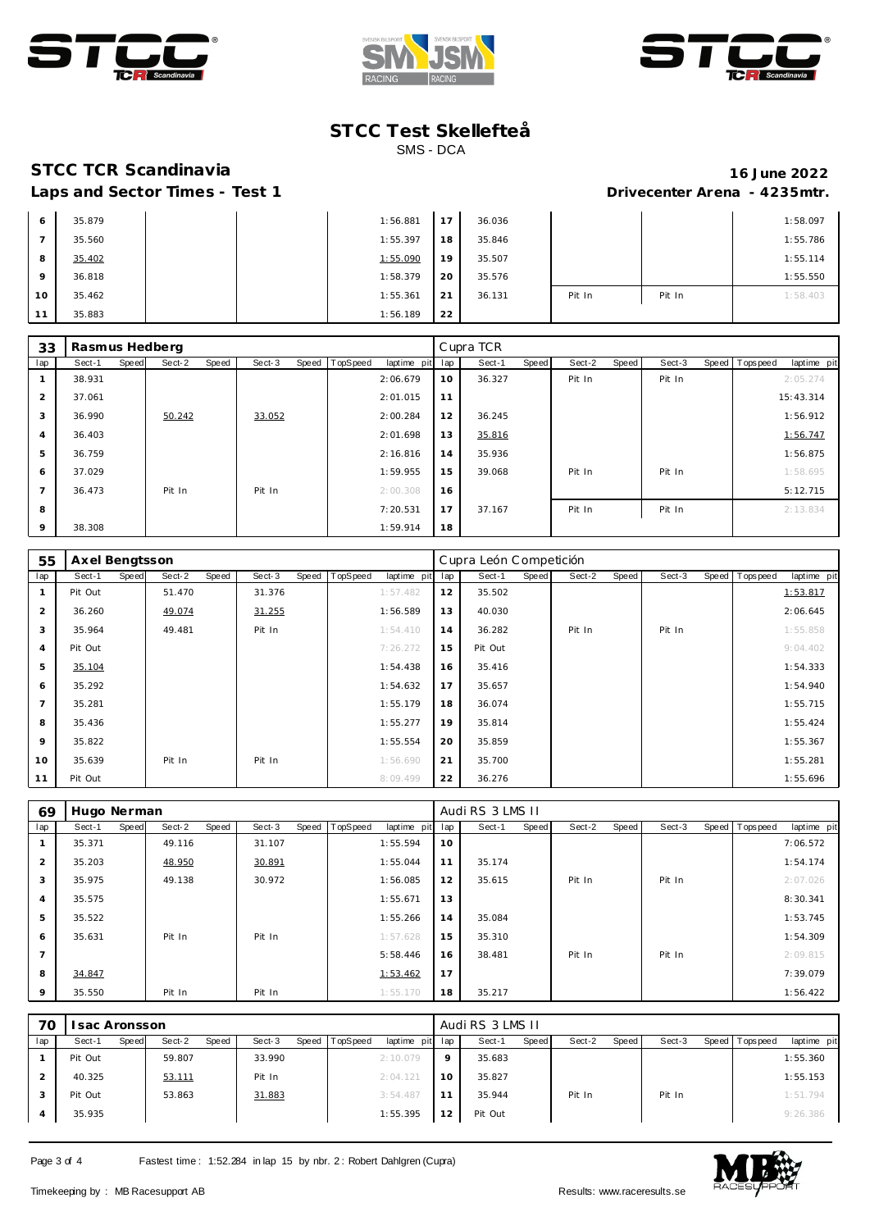





### **STCC TCR Scandinavia 16 June 2022**

## Laps and Sector Times - Test 1 **Drivecenter Arena - 4235mtr.**

| O        | 35.879 |  | 1:56.881 | 17 | 36.036 |        |        | 1:58.097 |
|----------|--------|--|----------|----|--------|--------|--------|----------|
|          | 35.560 |  | 1:55.397 | 18 | 35.846 |        |        | 1:55.786 |
| 8        | 35.402 |  | 1:55.090 | 19 | 35.507 |        |        | 1:55.114 |
| $\Omega$ | 36.818 |  | 1:58.379 | 20 | 35.576 |        |        | 1:55.550 |
| 10       | 35.462 |  | 1:55.361 | 21 | 36.131 | Pit In | Pit In | 1:58.403 |
| $\sim$   | 35.883 |  | 1:56.189 | 22 |        |        |        |          |

| 33             | Rasmus Hedberg |       |        |       |        |       |          |             |     | Cupra TCR |       |        |       |        |                |             |
|----------------|----------------|-------|--------|-------|--------|-------|----------|-------------|-----|-----------|-------|--------|-------|--------|----------------|-------------|
| lap            | Sect-1         | Speed | Sect-2 | Speed | Sect-3 | Speed | TopSpeed | laptime pit | lap | Sect-1    | Speed | Sect-2 | Speed | Sect-3 | Speed Topspeed | laptime pit |
|                | 38.931         |       |        |       |        |       |          | 2:06.679    | 10  | 36.327    |       | Pit In |       | Pit In |                | 2:05.274    |
| $\overline{2}$ | 37.061         |       |        |       |        |       |          | 2:01.015    | 11  |           |       |        |       |        |                | 15:43.314   |
| 3              | 36.990         |       | 50.242 |       | 33.052 |       |          | 2:00.284    | 12  | 36.245    |       |        |       |        |                | 1:56.912    |
| $\overline{4}$ | 36.403         |       |        |       |        |       |          | 2:01.698    | 13  | 35.816    |       |        |       |        |                | 1:56.747    |
| 5              | 36.759         |       |        |       |        |       |          | 2:16.816    | 14  | 35.936    |       |        |       |        |                | 1:56.875    |
| 6              | 37.029         |       |        |       |        |       |          | 1:59.955    | 15  | 39.068    |       | Pit In |       | Pit In |                | 1:58.695    |
| $\overline{7}$ | 36.473         |       | Pit In |       | Pit In |       |          | 2:00.308    | 16  |           |       |        |       |        |                | 5:12.715    |
| 8              |                |       |        |       |        |       |          | 7:20.531    | 17  | 37.167    |       | Pit In |       | Pit In |                | 2:13.834    |
| 9              | 38.308         |       |        |       |        |       |          | 1:59.914    | 18  |           |       |        |       |        |                |             |

| 55              | Axel Bengtsson |       |        |       |        |       |          |             |     | Cupra León Competición |       |        |       |        |       |           |             |
|-----------------|----------------|-------|--------|-------|--------|-------|----------|-------------|-----|------------------------|-------|--------|-------|--------|-------|-----------|-------------|
| lap             | Sect-1         | Speed | Sect-2 | Speed | Sect-3 | Speed | TopSpeed | laptime pit | lap | Sect-1                 | Speed | Sect-2 | Speed | Sect-3 | Speed | Tops peed | laptime pit |
| $\mathbf{1}$    | Pit Out        |       | 51.470 |       | 31.376 |       |          | 1:57.482    | 12  | 35.502                 |       |        |       |        |       |           | 1:53.817    |
| $\overline{2}$  | 36.260         |       | 49.074 |       | 31.255 |       |          | 1:56.589    | 13  | 40.030                 |       |        |       |        |       |           | 2:06.645    |
| 3               | 35.964         |       | 49.481 |       | Pit In |       |          | 1:54.410    | 14  | 36.282                 |       | Pit In |       | Pit In |       |           | 1:55.858    |
| $\overline{4}$  | Pit Out        |       |        |       |        |       |          | 7:26.272    | 15  | Pit Out                |       |        |       |        |       |           | 9:04.402    |
| 5               | 35.104         |       |        |       |        |       |          | 1:54.438    | 16  | 35.416                 |       |        |       |        |       |           | 1:54.333    |
| 6               | 35.292         |       |        |       |        |       |          | 1:54.632    | 17  | 35.657                 |       |        |       |        |       |           | 1:54.940    |
| $\overline{7}$  | 35.281         |       |        |       |        |       |          | 1:55.179    | 18  | 36.074                 |       |        |       |        |       |           | 1:55.715    |
| 8               | 35.436         |       |        |       |        |       |          | 1:55.277    | 19  | 35.814                 |       |        |       |        |       |           | 1:55.424    |
| 9               | 35.822         |       |        |       |        |       |          | 1:55.554    | 20  | 35.859                 |       |        |       |        |       |           | 1:55.367    |
| 10 <sup>°</sup> | 35.639         |       | Pit In |       | Pit In |       |          | 1:56.690    | 21  | 35.700                 |       |        |       |        |       |           | 1:55.281    |
| 11              | Pit Out        |       |        |       |        |       |          | 8:09.499    | 22  | 36.276                 |       |        |       |        |       |           | 1:55.696    |

| 69             | Hugo Nerman |       |        |       |        |       |          |             |     | Audi RS 3 LMS II |       |        |       |        |       |           |             |  |
|----------------|-------------|-------|--------|-------|--------|-------|----------|-------------|-----|------------------|-------|--------|-------|--------|-------|-----------|-------------|--|
| lap            | Sect-1      | Speed | Sect-2 | Speed | Sect-3 | Speed | TopSpeed | laptime pit | lap | Sect-1           | Speed | Sect-2 | Speed | Sect-3 | Speed | Tops peed | laptime pit |  |
|                | 35.371      |       | 49.116 |       | 31.107 |       |          | 1:55.594    | 10  |                  |       |        |       |        |       |           | 7:06.572    |  |
| $\overline{2}$ | 35.203      |       | 48.950 |       | 30.891 |       |          | 1:55.044    | 11  | 35.174           |       |        |       |        |       |           | 1:54.174    |  |
| 3              | 35.975      |       | 49.138 |       | 30.972 |       |          | 1:56.085    | 12  | 35.615           |       | Pit In |       | Pit In |       |           | 2:07.026    |  |
| $\overline{4}$ | 35.575      |       |        |       |        |       |          | 1:55.671    | 13  |                  |       |        |       |        |       |           | 8:30.341    |  |
| 5              | 35.522      |       |        |       |        |       |          | 1:55.266    | 14  | 35.084           |       |        |       |        |       |           | 1:53.745    |  |
| 6              | 35.631      |       | Pit In |       | Pit In |       |          | 1:57.628    | 15  | 35.310           |       |        |       |        |       |           | 1:54.309    |  |
| $\overline{7}$ |             |       |        |       |        |       |          | 5:58.446    | 16  | 38.481           |       | Pit In |       | Pit In |       |           | 2:09.815    |  |
| 8              | 34.847      |       |        |       |        |       |          | 1:53.462    | 17  |                  |       |        |       |        |       |           | 7:39.079    |  |
| 9              | 35.550      |       | Pit In |       | Pit In |       |          | 1:55.170    | 18  | 35.217           |       |        |       |        |       |           | 1:56.422    |  |

| 70  | sac Aronsson    |                 |        | Audi RS 3 LMS II |                 |         |         |       |        |       |        |  |                 |             |
|-----|-----------------|-----------------|--------|------------------|-----------------|---------|---------|-------|--------|-------|--------|--|-----------------|-------------|
| lap | Sect-1<br>Speed | Sect-2<br>Speed | Sect-3 | Speed TopSpeed   | laptime pit lap |         | Sect-1  | Speed | Sect-2 | Speed | Sect-3 |  | Speed Tops peed | laptime pit |
|     | Pit Out         | 59.807          | 33.990 | 2:10.079         |                 | $\circ$ | 35.683  |       |        |       |        |  |                 | 1:55.360    |
|     | 40.325          | 53.111          | Pit In | 2:04.121         |                 | 10      | 35.827  |       |        |       |        |  |                 | 1:55.153    |
|     | Pit Out         | 53.863          | 31.883 | 3:54.487         |                 |         | 35.944  |       | Pit In |       | Pit In |  |                 | 1:51.794    |
|     | 35.935          |                 |        | 1:55.395         |                 |         | Pit Out |       |        |       |        |  |                 | 9:26.386    |